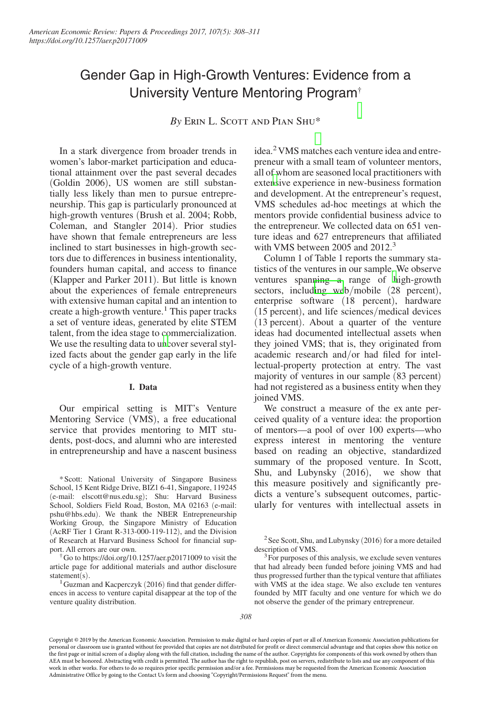# Gender Gap in High-Growth Ventures: Evidence from a University Venture Mentoring Program†

*By* Erin L. Scott and Pian Shu\*

In a stark divergence from broader trends in women's labor-market participation and educational attainment over the past several decades (Goldin 2006), US women are still substantially less likely than men to pursue entrepreneurship. This gap is particularly pronounced at high-growth ventures (Brush et al. 2004; Robb, Coleman, and Stangler 2014). Prior studies have shown that female entrepreneurs are less inclined to start businesses in high-growth sectors due to differences in business intentionality, founders human capital, and access to finance (Klapper and Parker 2011). But little is known about the experiences of female entrepreneurs with extensive human capital and an intention to create a high-growth venture.<sup>1</sup> This paper tracks a set of venture ideas, generated by elite STEM talent, from the idea stage to commercialization. We use the resulting data to u[nc](#page-0-0)over several stylized facts about the gender gap early in the life cycle of a high-growth venture.

### **I. Data**

Our empirical setting is MIT's Venture Mentoring Service (VMS), a free educational service that provides mentoring to MIT students, post-docs, and alumni who are interested in entrepreneurship and have a nascent business

\*Scott: National University of Singapore Business School, 15 Kent Ridge Drive, BIZ1 6-41, Singapore, 119245 (e-mail: elscott@nus.edu.sg); Shu: Harvard Business School, Soldiers Field Road, Boston, MA 02163 (e-mail: pshu@hbs.edu). We thank the NBER Entrepreneurship Working Group, the Singapore Ministry of Education (AcRF Tier 1 Grant R-313-000-119-112), and the Division of Research at Harvard Business School for financial support. All errors are our own.

†Go to https://doi.org/10.1257/aer.p20171009 to visit the article page for additional materials and author disclosure statement(s).

<span id="page-0-0"></span> $1$ Guzman and Kacperczyk (2016) find that gender differences in access to venture capital disappear at the top of the venture quality distribution.

idea.<sup>2</sup> VMS matches each venture idea and entrepreneur with a small team of volunteer mentors, all of whom are seasoned local practitioners with exte[ns](#page-0-1)ive experience in new-business formation and development. At the entrepreneur's request, VMS schedules ad-hoc meetings at which the mentors provide confidential business advice to the entrepreneur. We collected data on 651 venture ideas and 627 entrepreneurs that affiliated with VMS between 2005 and 2012.<sup>3</sup>

Column 1 of Table 1 reports the summary statistics of the ventures in our sample. We observe ventures spanning a range of [h](#page-0-2)igh-growth sectors, includ[ing we](#page-1-0)b/mobile (28 percent), enterprise software (18 percent), hardware (15 percent), and life sciences/medical devices (13 percent). About a quarter of the venture ideas had documented intellectual assets when they joined VMS; that is, they originated from academic research and/or had filed for intellectual-property protection at entry. The vast majority of ventures in our sample (83 percent) had not registered as a business entity when they joined VMS.

We construct a measure of the ex ante perceived quality of a venture idea: the proportion of mentors—a pool of over 100 experts—who express interest in mentoring the venture based on reading an objective, standardized summary of the proposed venture. In Scott, Shu, and Lubynsky (2016), we show that this measure positively and significantly predicts a venture's subsequent outcomes, particularly for ventures with intellectual assets in

 $2$ See Scott, Shu, and Lubynsky (2016) for a more detailed description of VMS.

<span id="page-0-2"></span><span id="page-0-1"></span><sup>3</sup> For purposes of this analysis, we exclude seven ventures that had already been funded before joining VMS and had thus progressed further than the typical venture that affiliates with VMS at the idea stage. We also exclude ten ventures founded by MIT faculty and one venture for which we do not observe the gender of the primary entrepreneur.

Copyright © 2019 by the American Economic Association. Permission to make digital or hard copies of part or all of American Economic Association publications for personal or classroom use is granted without fee provided that copies are not distributed for profit or direct commercial advantage and that copies show this notice on the first page or initial screen of a display along with the full citation, including the name of the author. Copyrights for components of this work owned by others than AEA must be honored. Abstracting with credit is permitted. The author has the right to republish, post on servers, redistribute to lists and use any component of this work in other works. For others to do so requires prior specific permission and/or a fee. Permissions may be requested from the American Economic Association Administrative Office by going to the Contact Us form and choosing "Copyright/Permissions Request" from the menu.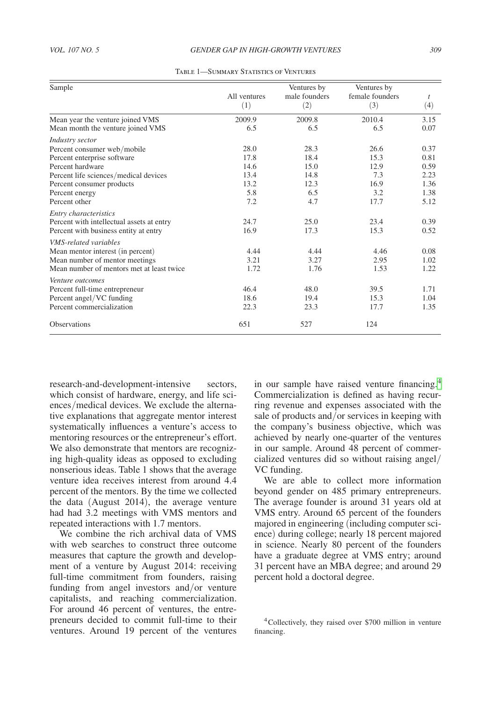<span id="page-1-0"></span>

| Sample                                    |              | Ventures by   | Ventures by     |      |
|-------------------------------------------|--------------|---------------|-----------------|------|
|                                           | All ventures | male founders | female founders | t    |
|                                           | (1)          | (2)           | (3)             | (4)  |
| Mean year the venture joined VMS          | 2009.9       | 2009.8        | 2010.4          | 3.15 |
| Mean month the venture joined VMS         | 6.5          | 6.5           | 6.5             | 0.07 |
| Industry sector                           |              |               |                 |      |
| Percent consumer web/mobile               | 28.0         | 28.3          | 26.6            | 0.37 |
| Percent enterprise software               | 17.8         | 18.4          | 15.3            | 0.81 |
| Percent hardware                          | 14.6         | 15.0          | 12.9            | 0.59 |
| Percent life sciences/medical devices     | 13.4         | 14.8          | 7.3             | 2.23 |
| Percent consumer products                 | 13.2         | 12.3          | 16.9            | 1.36 |
| Percent energy                            | 5.8          | 6.5           | 3.2             | 1.38 |
| Percent other                             | 7.2          | 4.7           | 17.7            | 5.12 |
| Entry characteristics                     |              |               |                 |      |
| Percent with intellectual assets at entry | 24.7         | 25.0          | 23.4            | 0.39 |
| Percent with business entity at entry     | 16.9         | 17.3          | 15.3            | 0.52 |
| <b>VMS-related variables</b>              |              |               |                 |      |
| Mean mentor interest (in percent)         | 4.44         | 4.44          | 4.46            | 0.08 |
| Mean number of mentor meetings            | 3.21         | 3.27          | 2.95            | 1.02 |
| Mean number of mentors met at least twice | 1.72         | 1.76          | 1.53            | 1.22 |
| Venture outcomes                          |              |               |                 |      |
| Percent full-time entrepreneur            | 46.4         | 48.0          | 39.5            | 1.71 |
| Percent angel/VC funding                  | 18.6         | 19.4          | 15.3            | 1.04 |
| Percent commercialization                 | 22.3         | 23.3          | 17.7            | 1.35 |
| <b>Observations</b>                       | 651          | 527           | 124             |      |

TABLE 1—SUMMARY STATISTICS OF VENTURES

research-and-development-intensive sectors, which consist of hardware, energy, and life sciences/medical devices. We exclude the alternative explanations that aggregate mentor interest systematically influences a venture's access to mentoring resources or the entrepreneur's effort. We also demonstrate that mentors are recognizing high-quality ideas as opposed to excluding nonserious ideas. Table 1 shows that the average venture idea receives interest from around 4.4 percent of the mentors. By the time we collected the data (August 2014), the average venture had had 3.2 meetings with VMS mentors and repeated interactions with 1.7 mentors.

We combine the rich archival data of VMS with web searches to construct three outcome measures that capture the growth and development of a venture by August 2014: receiving full-time commitment from founders, raising funding from angel investors and/or venture capitalists, and reaching commercialization. For around 46 percent of ventures, the entrepreneurs decided to commit full-time to their ventures. Around 19 percent of the ventures

in our sample have raised venture financing.[4](#page-1-1) Commercialization is defined as having recurring revenue and expenses associated with the sale of products and/or services in keeping with the company's business objective, which was achieved by nearly one-quarter of the ventures in our sample. Around 48 percent of commercialized ventures did so without raising angel/ VC funding.

We are able to collect more information beyond gender on 485 primary entrepreneurs. The average founder is around 31 years old at VMS entry. Around 65 percent of the founders majored in engineering (including computer science) during college; nearly 18 percent majored in science. Nearly 80 percent of the founders have a graduate degree at VMS entry; around 31 percent have an MBA degree; and around 29 percent hold a doctoral degree.

<span id="page-1-1"></span><sup>4</sup>Collectively, they raised over \$700 million in venture financing.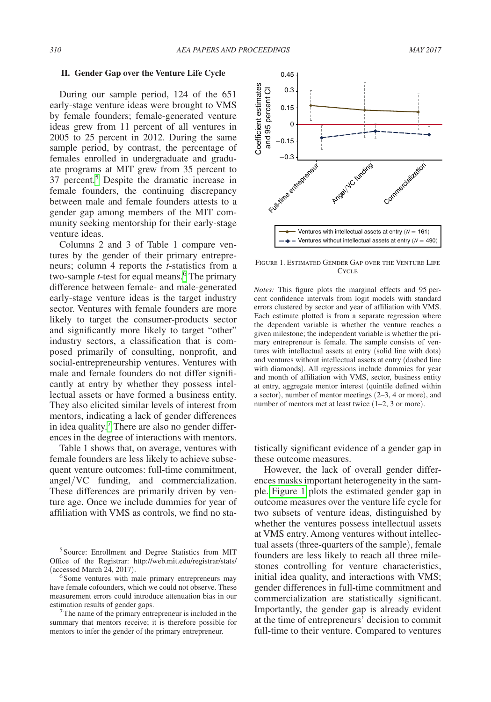#### **II. Gender Gap over the Venture Life Cycle**

During our sample period, 124 of the 651 early-stage venture ideas were brought to VMS by female founders; female-generated venture ideas grew from 11 percent of all ventures in 2005 to 25 percent in 2012. During the same sample period, by contrast, the percentage of females enrolled in undergraduate and graduate programs at MIT grew from 35 percent to 37 percent.[5](#page-2-0) Despite the dramatic increase in female founders, the continuing discrepancy between male and female founders attests to a gender gap among members of the MIT community seeking mentorship for their early-stage venture ideas.

Columns 2 and 3 of Table 1 compare ventures by the gender of their primary entrepreneurs; column 4 reports the *t*-statistics from a two-sample *t*-test for equal means.<sup>[6](#page-2-1)</sup> The primary difference between female- and male-generated early-stage venture ideas is the target industry sector. Ventures with female founders are more likely to target the consumer-products sector and significantly more likely to target "other" industry sectors, a classification that is composed primarily of consulting, nonprofit, and social-entrepreneurship ventures. Ventures with male and female founders do not differ significantly at entry by whether they possess intellectual assets or have formed a business entity. They also elicited similar levels of interest from mentors, indicating a lack of gender differences in idea quality.<sup>[7](#page-2-2)</sup> There are also no gender differences in the degree of interactions with mentors.

Table 1 shows that, on average, ventures with female founders are less likely to achieve subsequent venture outcomes: full-time commitment, angel/VC funding, and commercialization. These differences are primarily driven by venture age. Once we include dummies for year of affiliation with VMS as controls, we find no sta-

<span id="page-2-0"></span><sup>5</sup> Source: Enrollment and Degree Statistics from MIT Office of the Registrar: http://web.mit.edu/registrar/stats/

<span id="page-2-1"></span>(accessed March 24, 2017).<br><sup>6</sup>Some ventures with male primary entrepreneurs may have female cofounders, which we could not observe. These measurement errors could introduce attenuation bias in our estimation results of gender gaps.<br><sup>7</sup>The name of the primary entrepreneur is included in the

<span id="page-2-2"></span>summary that mentors receive; it is therefore possible for mentors to infer the gender of the primary entrepreneur.



Figure 1. Estimated Gender Gap over the Venture Life Cycle<sup>T</sup>

*Notes:* This figure plots the marginal effects and 95 percent confidence intervals from logit models with standard errors clustered by sector and year of affiliation with VMS. Each estimate plotted is from a separate regression where the dependent variable is whether the venture reaches a given milestone; the independent variable is whether the primary entrepreneur is female. The sample consists of ventures with intellectual assets at entry (solid line with dots) and ventures without intellectual assets at entry (dashed line with diamonds). All regressions include dummies for year and month of affiliation with VMS, sector, business entity at entry, aggregate mentor interest (quintile defined within a sector), number of mentor meetings (2–3, 4 or more), and number of mentors met at least twice  $(1-2, 3)$  or more).

tistically significant evidence of a gender gap in these outcome measures.

However, the lack of overall gender differences masks important heterogeneity in the sample. Figure 1 plots the estimated gender gap in outcome measures over the venture life cycle for two subsets of venture ideas, distinguished by whether the ventures possess intellectual assets at VMS entry. Among ventures without intellectual assets (three-quarters of the sample), female founders are less likely to reach all three milestones controlling for venture characteristics, initial idea quality, and interactions with VMS; gender differences in full-time commitment and commercialization are statistically significant. Importantly, the gender gap is already evident at the time of entrepreneurs' decision to commit full-time to their venture. Compared to ventures